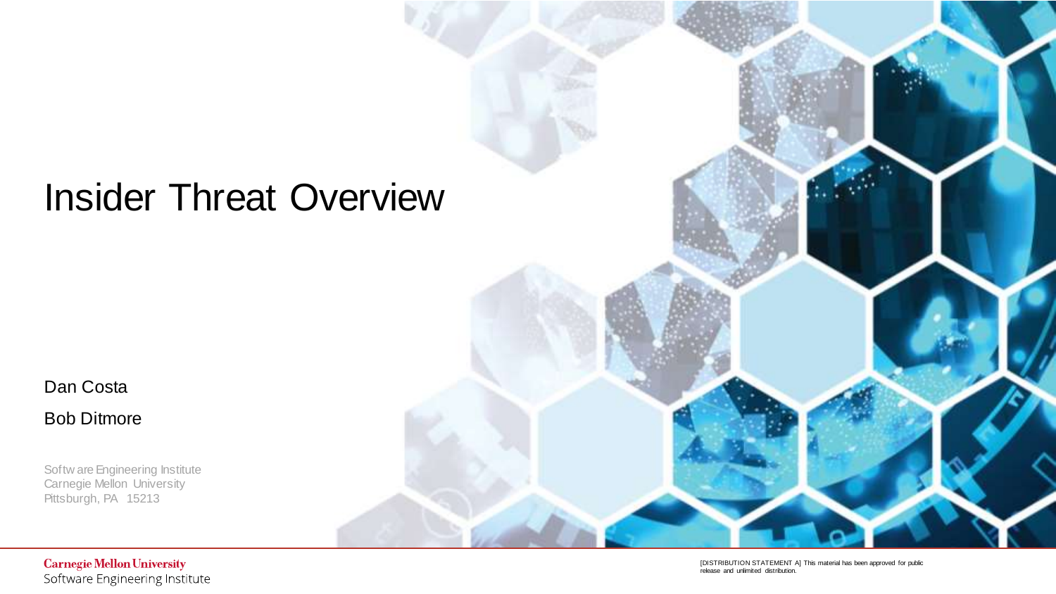# Insider Threat Overview

Dan Costa

Bob Ditmore

Softw are Engineering Institute Carnegie Mellon University Pittsburgh, PA 15213



**Carnegie Mellon University** Software Engineering Institute [DISTRIBUTION STATEMENT A] This material has been approved for public release and unlimited distribution.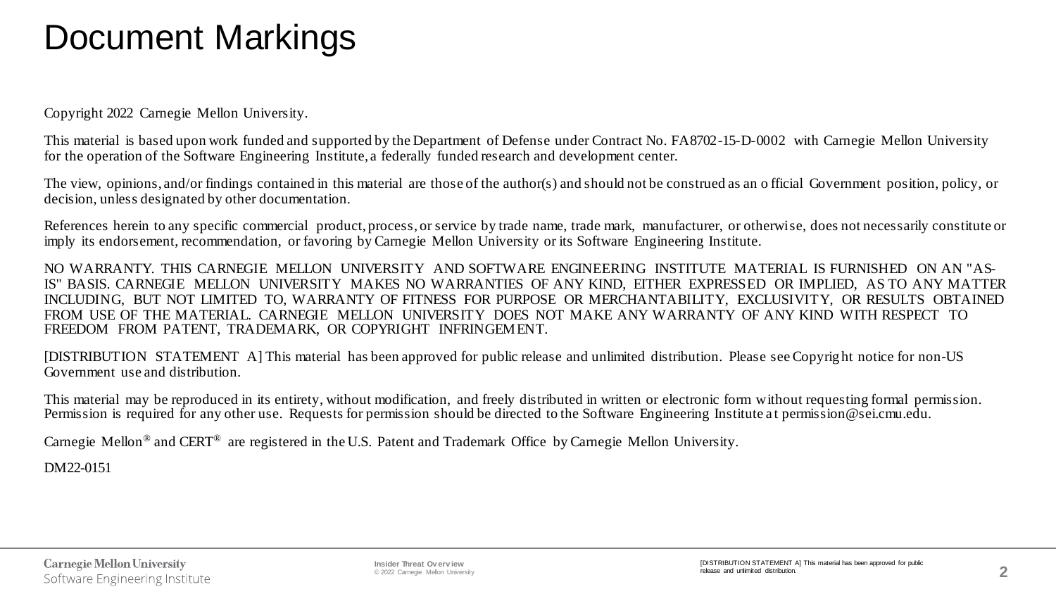### Document Markings

Copyright 2022 Carnegie Mellon University.

This material is based upon work funded and supported by the Department of Defense under Contract No. FA8702-15-D-0002 with Carnegie Mellon University for the operation of the Software Engineering Institute, a federally funded research and development center.

The view, opinions, and/or findings contained in this material are those of the author(s) and should not be construed as an o fficial Government position, policy, or decision, unless designated by other documentation.

References herein to any specific commercial product, process, or service by trade name, trade mark, manufacturer, or otherwise, does not necessarily constitute or imply its endorsement, recommendation, or favoring by Carnegie Mellon University or its Software Engineering Institute.

NO WARRANTY. THIS CARNEGIE MELLON UNIVERSITY AND SOFTWARE ENGINEERING INSTITUTE MATERIAL IS FURNISHED ON AN "AS-IS" BASIS. CARNEGIE MELLON UNIVERSITY MAKES NO WARRANTIES OF ANY KIND, EITHER EXPRESSED OR IMPLIED, AS TO ANY MATTER INCLUDING, BUT NOT LIMITED TO, WARRANTY OF FITNESS FOR PURPOSE OR MERCHANTABILITY, EXCLUSIVITY, OR RESULTS OBTAINED FROM USE OF THE MATERIAL. CARNEGIE MELLON UNIVERSITY DOES NOT MAKE ANY WARRANTY OF ANY KIND WITH RESPECT TO FREEDOM FROM PATENT, TRADEMARK, OR COPYRIGHT INFRINGEMENT.

[DISTRIBUTION STATEMENT A] This material has been approved for public release and unlimited distribution. Please see Copyrig ht notice for non-US Government use and distribution.

This material may be reproduced in its entirety, without modification, and freely distributed in written or electronic form without requesting formal permission. Permission is required for any other use. Requests for permission should be directed to the Software Engineering Institute at permission@sei.cmu.edu.

Carnegie Mellon® and CERT® are registered in the U.S. Patent and Trademark Office by Carnegie Mellon University.

DM22-0151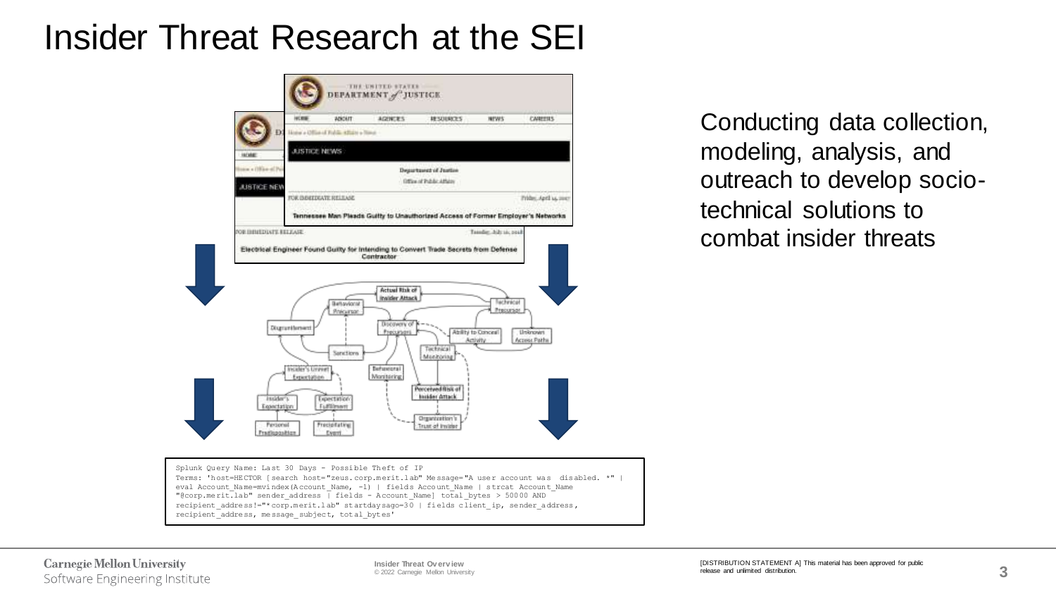## Insider Threat Research at the SEI



Conducting data collection, modeling, analysis, and outreach to develop sociotechnical solutions to combat insider threats

Splunk Query Name: Last 30 Days - Possible Theft of IP Terms: 'host=HECTOR [search host="zeus.corp.merit.lab" Message="A user account was disabled. \*" | eval Account Name=mvindex(Account Name, -1) | fields Account Name | strcat Account Name "@corp.merit.lab" sender address  $\frac{1}{1}$  fields - Account Name] total bytes > 50000 AND recipient address!="\*corp.merit.lab" startdaysago=30 | fields client ip, sender address, recipient\_address, message\_subject, total\_bytes'

#### **Carnegie Mellon University** Software Engineering Institute

**Insider Threat Ov erv iew** © 2022 Carnegie Mellon University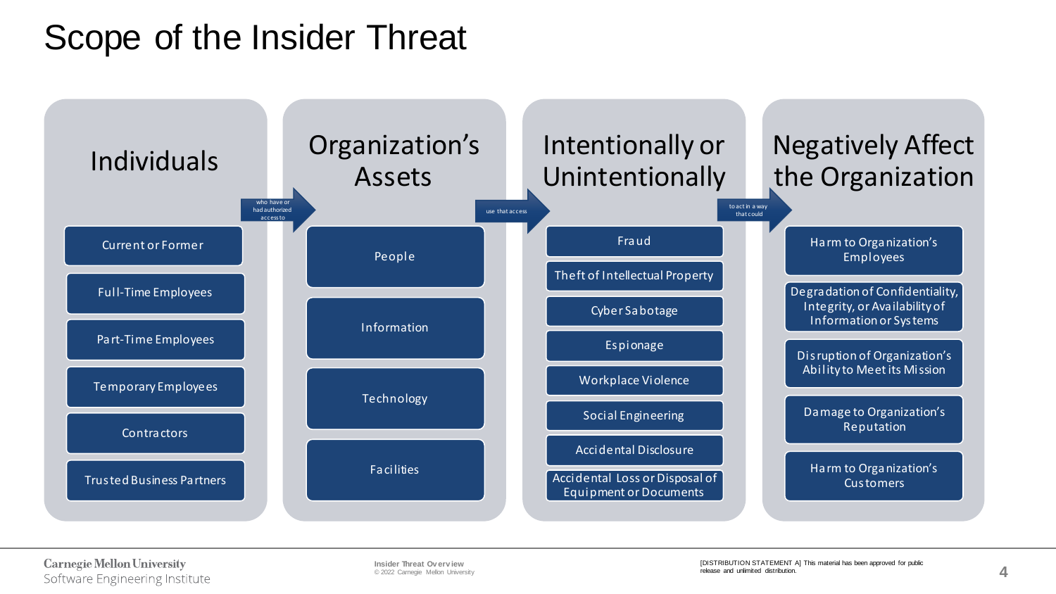### Scope of the Insider Threat



#### **Carnegie Mellon University** Software Engineering Institute

**Insider Threat Ov erv iew** © 2022 Carnegie Mellon University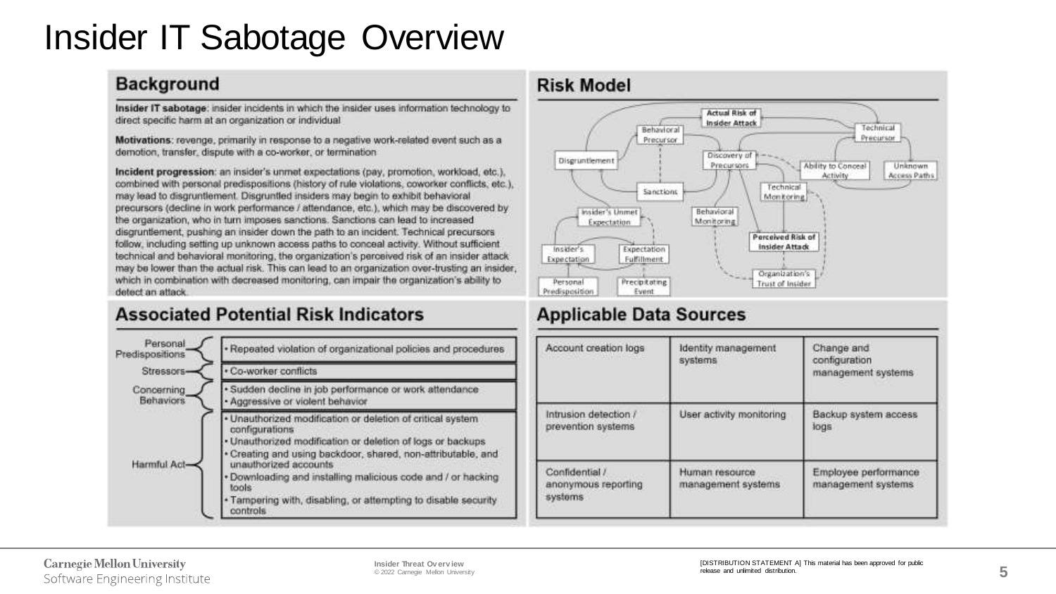## Insider IT Sabotage Overview

#### **Background**

Insider IT sabotage: insider incidents in which the insider uses information technology to direct specific harm at an organization or individual

Motivations: revenge, primarily in response to a negative work-related event such as a demotion, transfer, dispute with a co-worker, or termination.

Incident progression: an insider's unmet expectations (pay, promotion, workload, etc.), combined with personal predispositions (history of rule violations, coworker conflicts, etc.), may lead to disgruntlement. Disgruntled insiders may begin to exhibit behavioral precursors (decline in work performance / attendance, etc.), which may be discovered by the organization, who in turn imposes sanctions. Sanctions can lead to increased disgruntlement, pushing an insider down the path to an incident. Technical precursors follow, including setting up unknown access paths to conceal activity. Without sufficient technical and behavioral monitoring, the organization's perceived risk of an insider attack may be lower than the actual risk. This can lead to an organization over-trusting an insider. which in combination with decreased monitoring, can impair the organization's ability to detect an attack.

### **Associated Potential Risk Indicators**

| Personal<br><b>Predispositions</b>    | · Repeated violation of organizational policies and procedures                                                                                                                                                                                                                                                                                                                             |
|---------------------------------------|--------------------------------------------------------------------------------------------------------------------------------------------------------------------------------------------------------------------------------------------------------------------------------------------------------------------------------------------------------------------------------------------|
| <b>Stressors</b>                      | · Co-worker conflicts                                                                                                                                                                                                                                                                                                                                                                      |
| Concerning<br><b>Behaviors</b>        | · Sudden decline in job performance or work attendance<br>· Aggressive or violent behavior                                                                                                                                                                                                                                                                                                 |
| Harmful Act<br><b><i>CARTISTS</i></b> | · Unauthorized modification or deletion of critical system<br>configurations<br>· Unauthorized modification or deletion of logs or backups<br>· Creating and using backdoor, shared, non-attributable, and<br>unauthorized accounts<br>. Downloading and installing malicious code and / or hacking<br>tools<br>. Tampering with, disabling, or attempting to disable security<br>controls |

#### **Risk Model**



### **Applicable Data Sources**

| Account creation logs<br>you and when the state was howed by | Identity management<br>systems       | Change and<br>configuration<br>management systems |
|--------------------------------------------------------------|--------------------------------------|---------------------------------------------------|
| Intrusion detection /<br>prevention systems                  | User activity monitoring             | Backup system access<br>logs                      |
| Confidential /<br>anonymous reporting<br>systems             | Human resource<br>management systems | Employee performance<br>management systems        |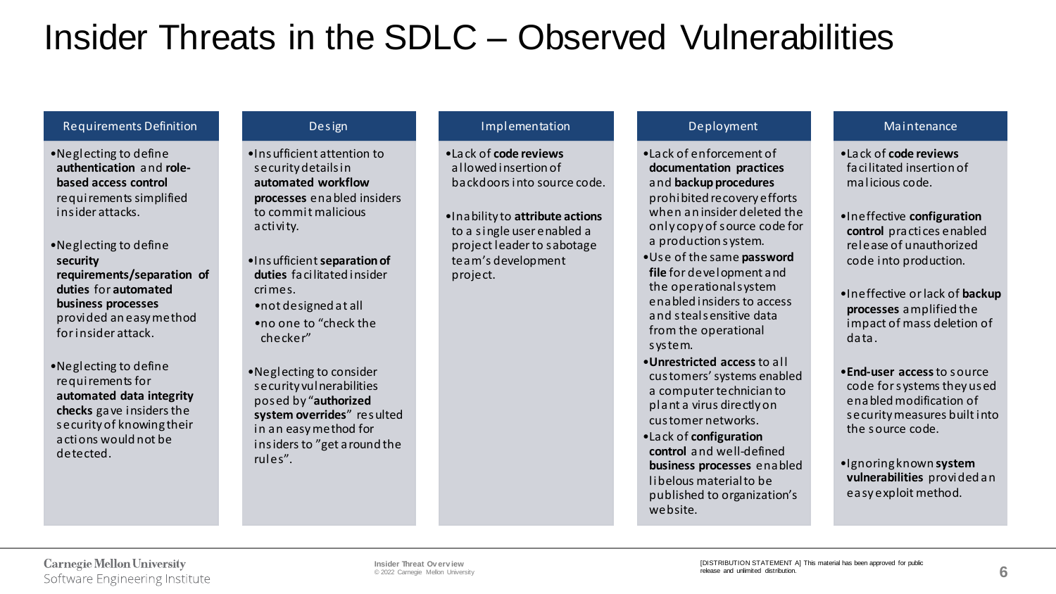## Insider Threats in the SDLC – Observed Vulnerabilities

#### Requirements Definition

- •Neglecting to define **authentication** and **rolebased access control** requirements simplified insider attacks.
- •Neglecting to define **security requirements/separation of duties** for **automated business processes**  provided an easy method for insider attack.
- •Neglecting to define requirements for **automated data integrity checks** gave insiders the security of knowing their actions would not be detected.

#### Design

•Insufficient attention to security details in **automated workflow processes** enabled insiders to commit malicious activity.

- •Insufficient **separation of duties** facilitated insider crimes. •not designed at all
- •no one to "check the checker"

•Neglecting to consider security vulnerabilities posed by "**authorized system overrides**" resulted in an easy method for insiders to "get around the rules".

#### Implementation

- •Lack of **code reviews** allowed insertion of backdoors into source code.
- •Inability to **attribute actions**  to a single user enabled a project leader to sabotage team's development project.

#### Deployment

•Lack of enforcement of **documentation practices** and **backup procedures** prohibited recovery efforts when an insider deleted the only copy of source code for a production system.

- •Use of the same **password file** for development and the operational system enabled insiders to access and steal sensitive data from the operational system.
- •**Unrestricted access**to all customers' systems enabled a computer technician to plant a virus directly on customer networks.
- •Lack of **configuration control** and well-defined **business processes** enabled libelous material to be published to organization's website.

#### Maintenance

•Lack of **code reviews** facilitated insertion of malicious code.

- •Ineffective **configuration control** practices enabled release of unauthorized code into production.
- •Ineffective or lack of **backup processes** amplified the impact of mass deletion of data.
- •**End-user access** to source code for systems they used enabled modification of security measures built into the source code.
- •Ignoring known **system vulnerabilities** provided an easy exploit method.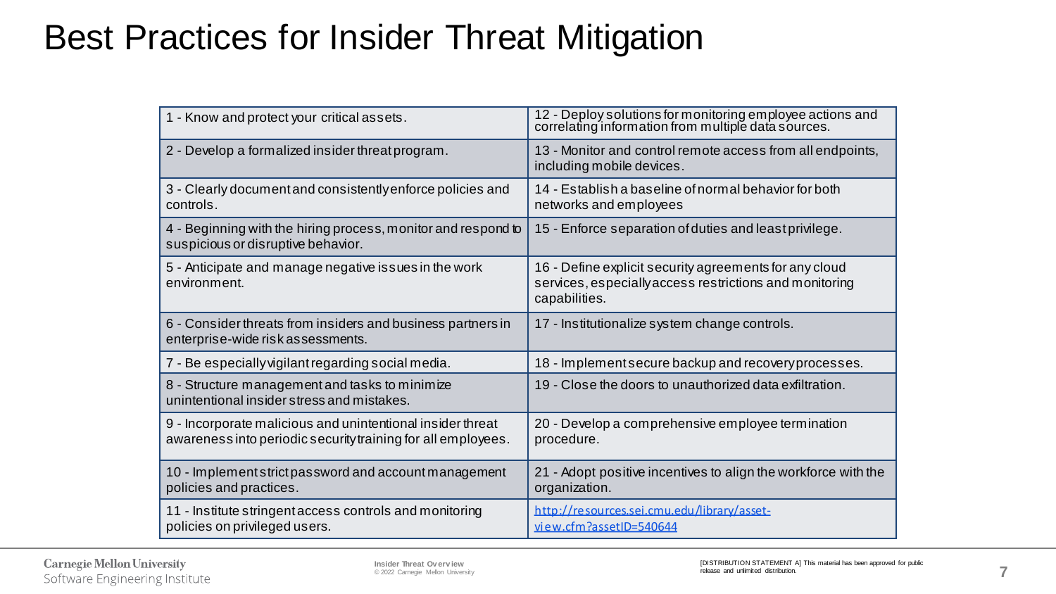## Best Practices for Insider Threat Mitigation

| 1 - Know and protect your critical assets.                                                                                 | 12 - Deploy solutions for monitoring employee actions and<br>correlating information from multiple data sources.                   |  |
|----------------------------------------------------------------------------------------------------------------------------|------------------------------------------------------------------------------------------------------------------------------------|--|
| 2 - Develop a formalized insider threat program.                                                                           | 13 - Monitor and control remote access from all endpoints,<br>including mobile devices.                                            |  |
| 3 - Clearly document and consistently enforce policies and<br>controls.                                                    | 14 - Establish a baseline of normal behavior for both<br>networks and employees                                                    |  |
| 4 - Beginning with the hiring process, monitor and respond to<br>suspicious or disruptive behavior.                        | 15 - Enforce separation of duties and least privilege.                                                                             |  |
| 5 - Anticipate and manage negative issues in the work<br>environment.                                                      | 16 - Define explicit security agreements for any cloud<br>services, especially access restrictions and monitoring<br>capabilities. |  |
| 6 - Consider threats from insiders and business partners in<br>enterprise-wide risk assessments.                           | 17 - Institutionalize system change controls.                                                                                      |  |
| 7 - Be especially vigilant regarding social media.                                                                         | 18 - Implement secure backup and recovery processes.                                                                               |  |
| 8 - Structure management and tasks to minimize<br>unintentional insider stress and mistakes.                               | 19 - Close the doors to unauthorized data exfiltration.                                                                            |  |
| 9 - Incorporate malicious and unintentional insider threat<br>awareness into periodic security training for all employees. | 20 - Develop a comprehensive employee termination<br>procedure.                                                                    |  |
| 10 - Implement strict password and account management<br>policies and practices.                                           | 21 - Adopt positive incentives to align the workforce with the<br>organization.                                                    |  |
| 11 - Institute stringent access controls and monitoring<br>policies on privileged users.                                   | http://resources.sei.cmu.edu/library/asset-<br>view.cfm?assetID=540644                                                             |  |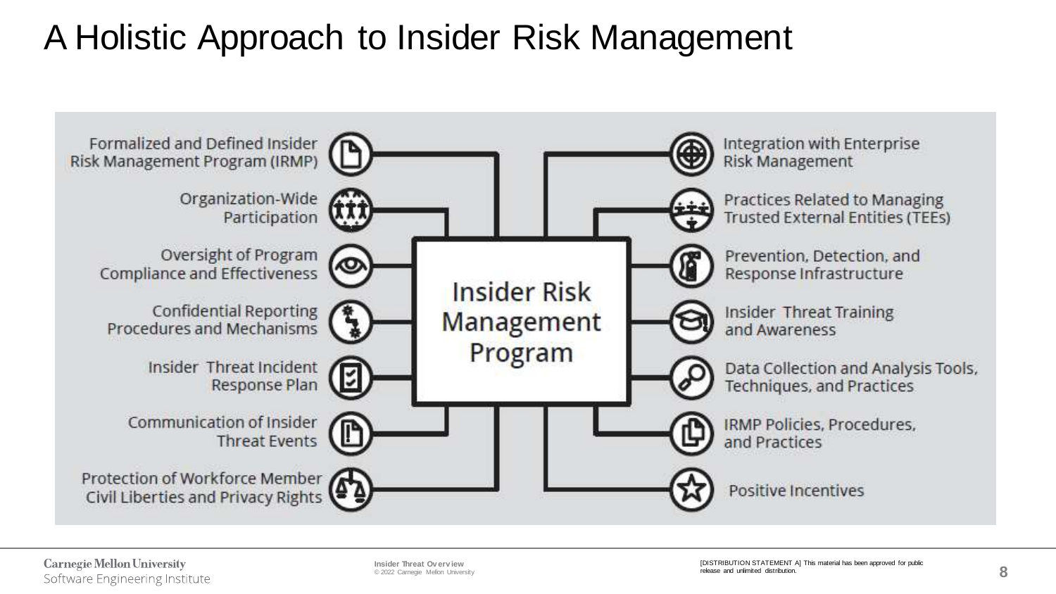## A Holistic Approach to Insider Risk Management

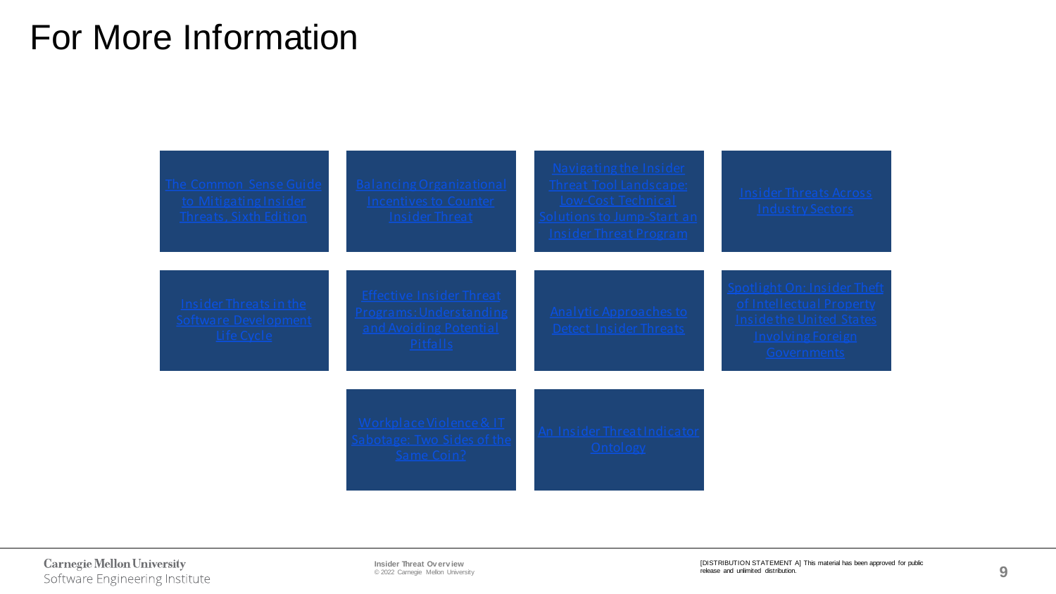### For More Information



**Insider Threat Ov erv iew** © 2022 Carnegie Mellon University